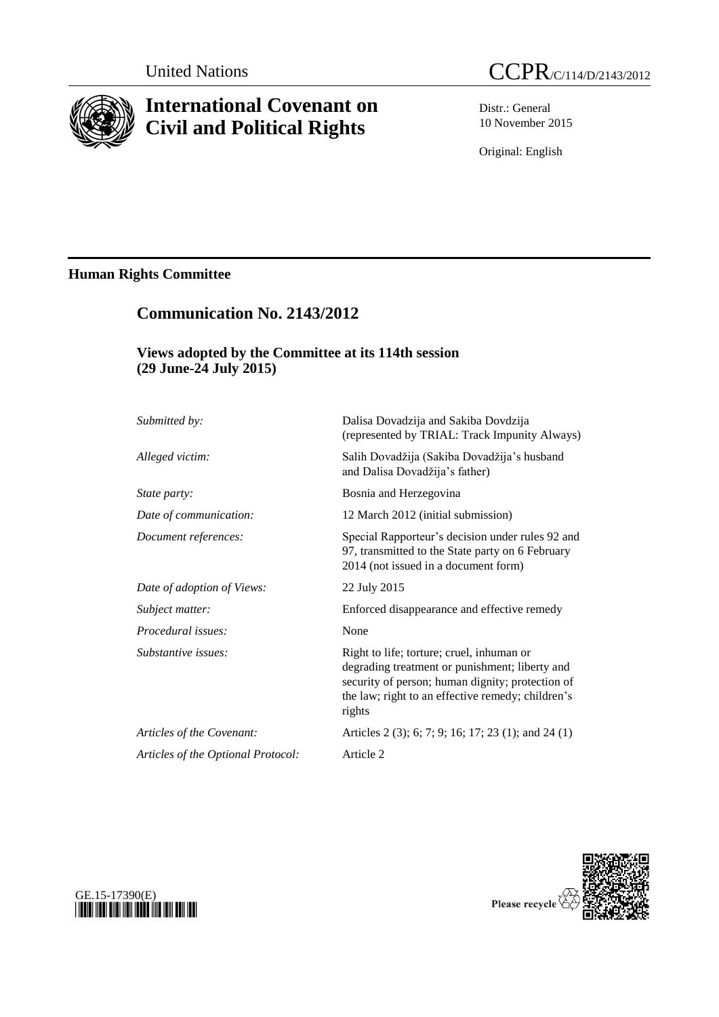

## **International Covenant on Civil and Political Rights**



Distr.: General 10 November 2015

Original: English

## **Human Rights Committee**

# **Communication No. 2143/2012**

## **Views adopted by the Committee at its 114th session (29 June-24 July 2015)**

| Submitted by:                      | Dalisa Dovadzija and Sakiba Dovdzija<br>(represented by TRIAL: Track Impunity Always)                                                                                                                          |
|------------------------------------|----------------------------------------------------------------------------------------------------------------------------------------------------------------------------------------------------------------|
| Alleged victim:                    | Salih Dovadžija (Sakiba Dovadžija's husband<br>and Dalisa Dovadžija's father)                                                                                                                                  |
| State party:                       | Bosnia and Herzegovina                                                                                                                                                                                         |
| Date of communication:             | 12 March 2012 (initial submission)                                                                                                                                                                             |
| Document references:               | Special Rapporteur's decision under rules 92 and<br>97, transmitted to the State party on 6 February<br>2014 (not issued in a document form)                                                                   |
| Date of adoption of Views:         | 22 July 2015                                                                                                                                                                                                   |
| Subject matter:                    | Enforced disappearance and effective remedy                                                                                                                                                                    |
| Procedural issues:                 | None                                                                                                                                                                                                           |
| Substantive issues:                | Right to life; torture; cruel, inhuman or<br>degrading treatment or punishment; liberty and<br>security of person; human dignity; protection of<br>the law; right to an effective remedy; children's<br>rights |
| Articles of the Covenant:          | Articles 2 (3); 6; 7; 9; 16; 17; 23 (1); and 24 (1)                                                                                                                                                            |
| Articles of the Optional Protocol: | Article 2                                                                                                                                                                                                      |



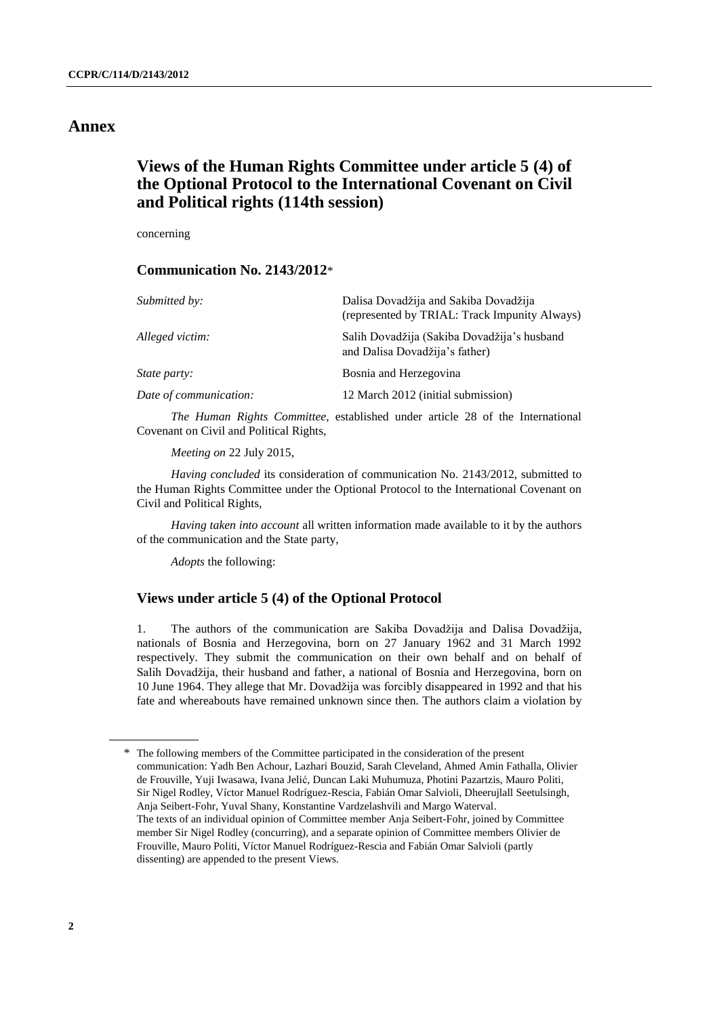### **Annex**

## **Views of the Human Rights Committee under article 5 (4) of the Optional Protocol to the International Covenant on Civil and Political rights (114th session)**

concerning

#### **Communication No. 2143/2012**\*

| Submitted by:          | Dalisa Dovadžija and Sakiba Dovadžija<br>(represented by TRIAL: Track Impunity Always) |
|------------------------|----------------------------------------------------------------------------------------|
| Alleged victim:        | Salih Dovadžija (Sakiba Dovadžija's husband<br>and Dalisa Dovadžija's father)          |
| <i>State party:</i>    | Bosnia and Herzegovina                                                                 |
| Date of communication: | 12 March 2012 (initial submission)                                                     |
|                        |                                                                                        |

*The Human Rights Committee*, established under article 28 of the International Covenant on Civil and Political Rights,

*Meeting on* 22 July 2015,

*Having concluded* its consideration of communication No. 2143/2012, submitted to the Human Rights Committee under the Optional Protocol to the International Covenant on Civil and Political Rights,

*Having taken into account* all written information made available to it by the authors of the communication and the State party,

*Adopts* the following:

#### **Views under article 5 (4) of the Optional Protocol**

1. The authors of the communication are Sakiba Dovadžija and Dalisa Dovadžija, nationals of Bosnia and Herzegovina, born on 27 January 1962 and 31 March 1992 respectively. They submit the communication on their own behalf and on behalf of Salih Dovadžija, their husband and father, a national of Bosnia and Herzegovina, born on 10 June 1964. They allege that Mr. Dovadžija was forcibly disappeared in 1992 and that his fate and whereabouts have remained unknown since then. The authors claim a violation by

<sup>\*</sup> The following members of the Committee participated in the consideration of the present communication: Yadh Ben Achour, Lazhari Bouzid, Sarah Cleveland, Ahmed Amin Fathalla, Olivier de Frouville, Yuji Iwasawa, Ivana Jelić, Duncan Laki Muhumuza, Photini Pazartzis, Mauro Politi, Sir Nigel Rodley, Víctor Manuel Rodríguez-Rescia, Fabián Omar Salvioli, Dheerujlall Seetulsingh, Anja Seibert-Fohr, Yuval Shany, Konstantine Vardzelashvili and Margo Waterval. The texts of an individual opinion of Committee member Anja Seibert-Fohr, joined by Committee member Sir Nigel Rodley (concurring), and a separate opinion of Committee members Olivier de Frouville, Mauro Politi, Víctor Manuel Rodríguez-Rescia and Fabián Omar Salvioli (partly dissenting) are appended to the present Views.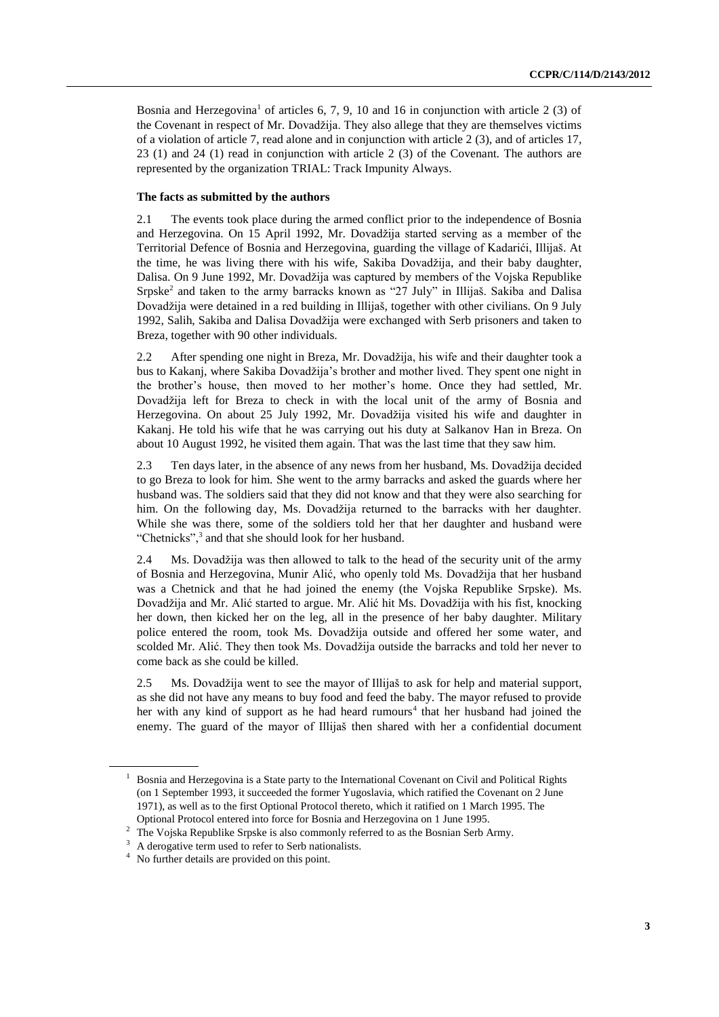Bosnia and Herzegovina<sup>1</sup> of articles 6, 7, 9, 10 and 16 in conjunction with article 2 (3) of the Covenant in respect of Mr. Dovadžija. They also allege that they are themselves victims of a violation of article 7, read alone and in conjunction with article 2 (3), and of articles 17, 23 (1) and 24 (1) read in conjunction with article 2 (3) of the Covenant. The authors are represented by the organization TRIAL: Track Impunity Always.

#### **The facts as submitted by the authors**

2.1 The events took place during the armed conflict prior to the independence of Bosnia and Herzegovina. On 15 April 1992, Mr. Dovadžija started serving as a member of the Territorial Defence of Bosnia and Herzegovina, guarding the village of Kadarići, Illijaš. At the time, he was living there with his wife, Sakiba Dovadžija, and their baby daughter, Dalisa. On 9 June 1992, Mr. Dovadžija was captured by members of the Vojska Republike Srpske<sup>2</sup> and taken to the army barracks known as "27 July" in Illijaš. Sakiba and Dalisa Dovadžija were detained in a red building in Illijaš, together with other civilians. On 9 July 1992, Salih, Sakiba and Dalisa Dovadžija were exchanged with Serb prisoners and taken to Breza, together with 90 other individuals.

2.2 After spending one night in Breza, Mr. Dovadžija, his wife and their daughter took a bus to Kakanj, where Sakiba Dovadžija's brother and mother lived. They spent one night in the brother's house, then moved to her mother's home. Once they had settled, Mr. Dovadžija left for Breza to check in with the local unit of the army of Bosnia and Herzegovina. On about 25 July 1992, Mr. Dovadžija visited his wife and daughter in Kakanj. He told his wife that he was carrying out his duty at Salkanov Han in Breza. On about 10 August 1992, he visited them again. That was the last time that they saw him.

2.3 Ten days later, in the absence of any news from her husband, Ms. Dovadžija decided to go Breza to look for him. She went to the army barracks and asked the guards where her husband was. The soldiers said that they did not know and that they were also searching for him. On the following day, Ms. Dovadžija returned to the barracks with her daughter. While she was there, some of the soldiers told her that her daughter and husband were "Chetnicks",<sup>3</sup> and that she should look for her husband.

2.4 Ms. Dovadžija was then allowed to talk to the head of the security unit of the army of Bosnia and Herzegovina, Munir Alić, who openly told Ms. Dovadžija that her husband was a Chetnick and that he had joined the enemy (the Vojska Republike Srpske). Ms. Dovadžija and Mr. Alić started to argue. Mr. Alić hit Ms. Dovadžija with his fist, knocking her down, then kicked her on the leg, all in the presence of her baby daughter. Military police entered the room, took Ms. Dovadžija outside and offered her some water, and scolded Mr. Alić. They then took Ms. Dovadžija outside the barracks and told her never to come back as she could be killed.

2.5 Ms. Dovadžija went to see the mayor of Illijaš to ask for help and material support, as she did not have any means to buy food and feed the baby. The mayor refused to provide her with any kind of support as he had heard rumours<sup>4</sup> that her husband had joined the enemy. The guard of the mayor of Illijaš then shared with her a confidential document

 $<sup>1</sup>$  Bosnia and Herzegovina is a State party to the International Covenant on Civil and Political Rights</sup> (on 1 September 1993, it succeeded the former Yugoslavia, which ratified the Covenant on 2 June 1971), as well as to the first Optional Protocol thereto, which it ratified on 1 March 1995. The Optional Protocol entered into force for Bosnia and Herzegovina on 1 June 1995.

<sup>&</sup>lt;sup>2</sup> The Vojska Republike Srpske is also commonly referred to as the Bosnian Serb Army.

<sup>&</sup>lt;sup>3</sup> A derogative term used to refer to Serb nationalists.

<sup>4</sup> No further details are provided on this point.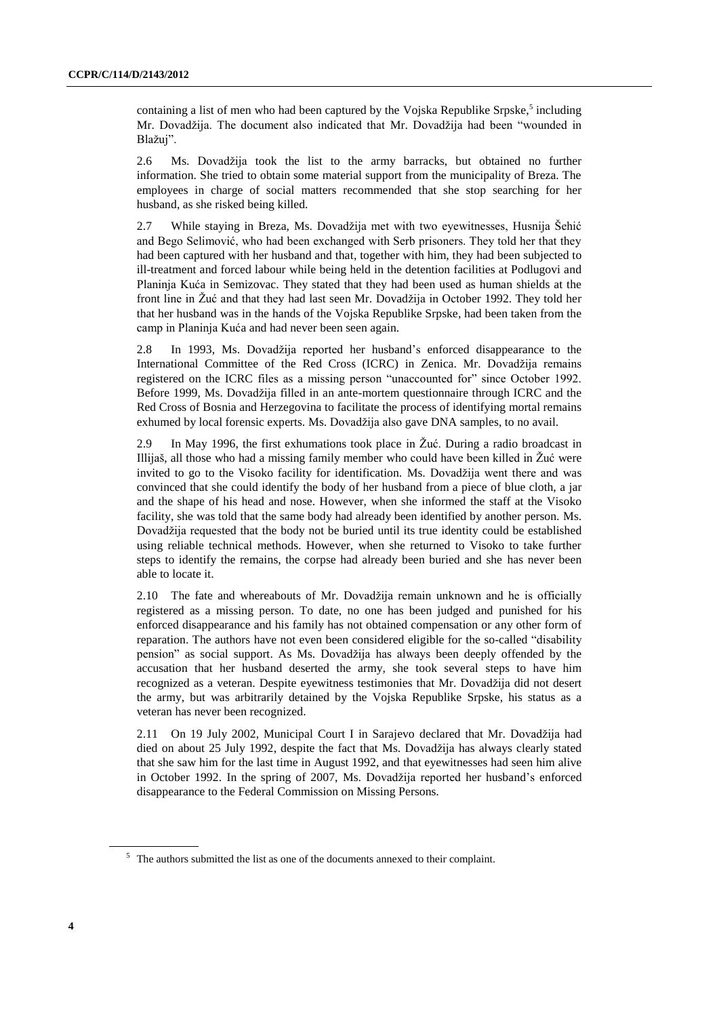containing a list of men who had been captured by the Vojska Republike Srpske,<sup>5</sup> including Mr. Dovadžija. The document also indicated that Mr. Dovadžija had been "wounded in Blažuj".

2.6 Ms. Dovadžija took the list to the army barracks, but obtained no further information. She tried to obtain some material support from the municipality of Breza. The employees in charge of social matters recommended that she stop searching for her husband, as she risked being killed.

2.7 While staying in Breza, Ms. Dovadžija met with two eyewitnesses, Husnija Šehić and Bego Selimović, who had been exchanged with Serb prisoners. They told her that they had been captured with her husband and that, together with him, they had been subjected to ill-treatment and forced labour while being held in the detention facilities at Podlugovi and Planinja Kuća in Semizovac. They stated that they had been used as human shields at the front line in Žuć and that they had last seen Mr. Dovadžija in October 1992. They told her that her husband was in the hands of the Vojska Republike Srpske, had been taken from the camp in Planinja Kuća and had never been seen again.

2.8 In 1993, Ms. Dovadžija reported her husband's enforced disappearance to the International Committee of the Red Cross (ICRC) in Zenica. Mr. Dovadžija remains registered on the ICRC files as a missing person "unaccounted for" since October 1992. Before 1999, Ms. Dovadžija filled in an ante-mortem questionnaire through ICRC and the Red Cross of Bosnia and Herzegovina to facilitate the process of identifying mortal remains exhumed by local forensic experts. Ms. Dovadžija also gave DNA samples, to no avail.

2.9 In May 1996, the first exhumations took place in Žuć. During a radio broadcast in Illijaš, all those who had a missing family member who could have been killed in Žuć were invited to go to the Visoko facility for identification. Ms. Dovadžija went there and was convinced that she could identify the body of her husband from a piece of blue cloth, a jar and the shape of his head and nose. However, when she informed the staff at the Visoko facility, she was told that the same body had already been identified by another person. Ms. Dovadžija requested that the body not be buried until its true identity could be established using reliable technical methods. However, when she returned to Visoko to take further steps to identify the remains, the corpse had already been buried and she has never been able to locate it.

2.10 The fate and whereabouts of Mr. Dovadžija remain unknown and he is officially registered as a missing person. To date, no one has been judged and punished for his enforced disappearance and his family has not obtained compensation or any other form of reparation. The authors have not even been considered eligible for the so-called "disability pension" as social support. As Ms. Dovadžija has always been deeply offended by the accusation that her husband deserted the army, she took several steps to have him recognized as a veteran. Despite eyewitness testimonies that Mr. Dovadžija did not desert the army, but was arbitrarily detained by the Vojska Republike Srpske, his status as a veteran has never been recognized.

2.11 On 19 July 2002, Municipal Court I in Sarajevo declared that Mr. Dovadžija had died on about 25 July 1992, despite the fact that Ms. Dovadžija has always clearly stated that she saw him for the last time in August 1992, and that eyewitnesses had seen him alive in October 1992. In the spring of 2007, Ms. Dovadžija reported her husband's enforced disappearance to the Federal Commission on Missing Persons.

<sup>&</sup>lt;sup>5</sup> The authors submitted the list as one of the documents annexed to their complaint.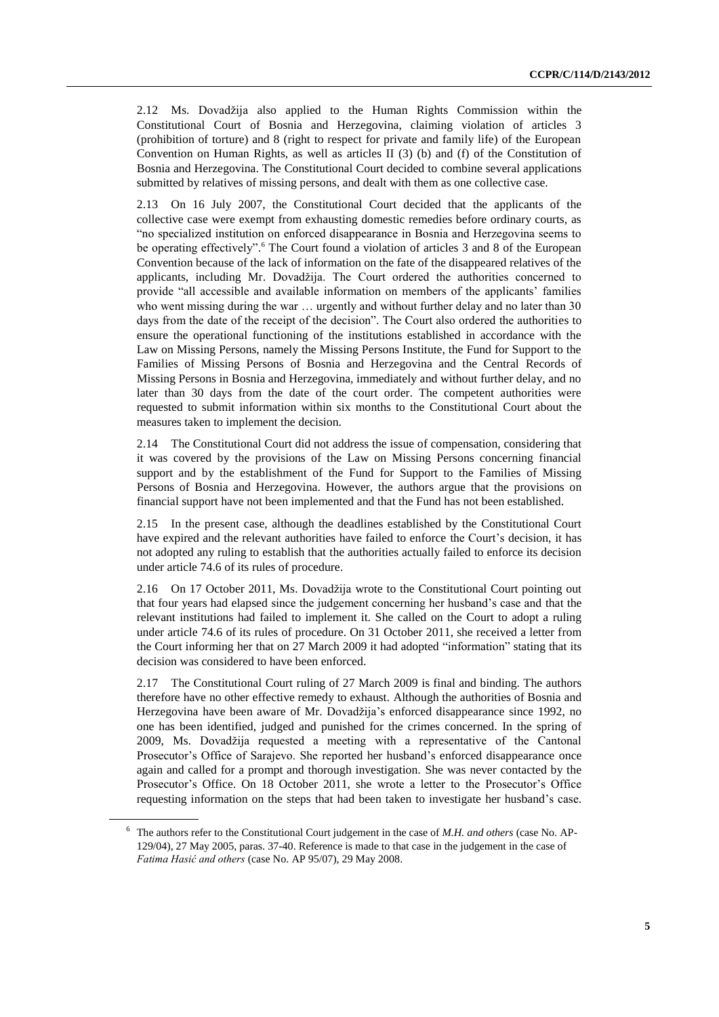2.12 Ms. Dovadžija also applied to the Human Rights Commission within the Constitutional Court of Bosnia and Herzegovina, claiming violation of articles 3 (prohibition of torture) and 8 (right to respect for private and family life) of the European Convention on Human Rights, as well as articles II (3) (b) and (f) of the Constitution of Bosnia and Herzegovina. The Constitutional Court decided to combine several applications submitted by relatives of missing persons, and dealt with them as one collective case.

2.13 On 16 July 2007, the Constitutional Court decided that the applicants of the collective case were exempt from exhausting domestic remedies before ordinary courts, as "no specialized institution on enforced disappearance in Bosnia and Herzegovina seems to be operating effectively".<sup>6</sup> The Court found a violation of articles 3 and 8 of the European Convention because of the lack of information on the fate of the disappeared relatives of the applicants, including Mr. Dovadžija. The Court ordered the authorities concerned to provide "all accessible and available information on members of the applicants' families who went missing during the war ... urgently and without further delay and no later than 30 days from the date of the receipt of the decision". The Court also ordered the authorities to ensure the operational functioning of the institutions established in accordance with the Law on Missing Persons, namely the Missing Persons Institute, the Fund for Support to the Families of Missing Persons of Bosnia and Herzegovina and the Central Records of Missing Persons in Bosnia and Herzegovina, immediately and without further delay, and no later than 30 days from the date of the court order. The competent authorities were requested to submit information within six months to the Constitutional Court about the measures taken to implement the decision.

2.14 The Constitutional Court did not address the issue of compensation, considering that it was covered by the provisions of the Law on Missing Persons concerning financial support and by the establishment of the Fund for Support to the Families of Missing Persons of Bosnia and Herzegovina. However, the authors argue that the provisions on financial support have not been implemented and that the Fund has not been established.

2.15 In the present case, although the deadlines established by the Constitutional Court have expired and the relevant authorities have failed to enforce the Court's decision, it has not adopted any ruling to establish that the authorities actually failed to enforce its decision under article 74.6 of its rules of procedure.

2.16 On 17 October 2011, Ms. Dovadžija wrote to the Constitutional Court pointing out that four years had elapsed since the judgement concerning her husband's case and that the relevant institutions had failed to implement it. She called on the Court to adopt a ruling under article 74.6 of its rules of procedure. On 31 October 2011, she received a letter from the Court informing her that on 27 March 2009 it had adopted "information" stating that its decision was considered to have been enforced.

2.17 The Constitutional Court ruling of 27 March 2009 is final and binding. The authors therefore have no other effective remedy to exhaust. Although the authorities of Bosnia and Herzegovina have been aware of Mr. Dovadžija's enforced disappearance since 1992, no one has been identified, judged and punished for the crimes concerned. In the spring of 2009, Ms. Dovadžija requested a meeting with a representative of the Cantonal Prosecutor's Office of Sarajevo. She reported her husband's enforced disappearance once again and called for a prompt and thorough investigation. She was never contacted by the Prosecutor's Office. On 18 October 2011, she wrote a letter to the Prosecutor's Office requesting information on the steps that had been taken to investigate her husband's case.

<sup>6</sup> The authors refer to the Constitutional Court judgement in the case of *M.H. and others* (case No. AP-129/04), 27 May 2005, paras. 37-40. Reference is made to that case in the judgement in the case of *Fatima Hasić and others* (case No. AP 95/07), 29 May 2008.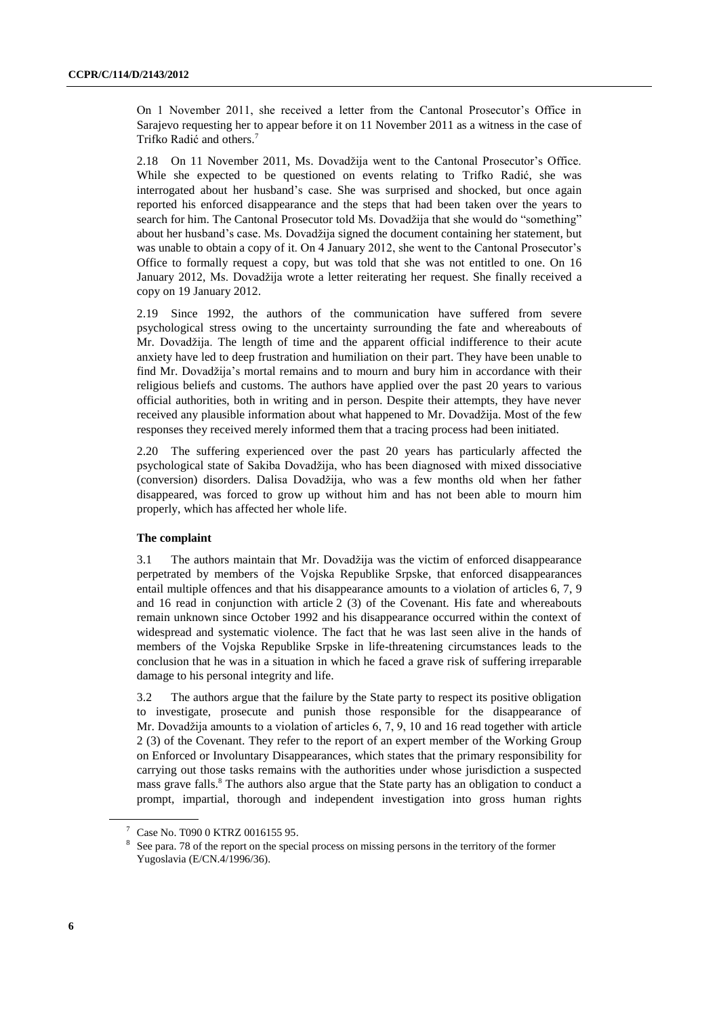On 1 November 2011, she received a letter from the Cantonal Prosecutor's Office in Sarajevo requesting her to appear before it on 11 November 2011 as a witness in the case of Trifko Radić and others. 7

2.18 On 11 November 2011, Ms. Dovadžija went to the Cantonal Prosecutor's Office. While she expected to be questioned on events relating to Trifko Radić, she was interrogated about her husband's case. She was surprised and shocked, but once again reported his enforced disappearance and the steps that had been taken over the years to search for him. The Cantonal Prosecutor told Ms. Dovadžija that she would do "something" about her husband's case. Ms. Dovadžija signed the document containing her statement, but was unable to obtain a copy of it. On 4 January 2012, she went to the Cantonal Prosecutor's Office to formally request a copy, but was told that she was not entitled to one. On 16 January 2012, Ms. Dovadžija wrote a letter reiterating her request. She finally received a copy on 19 January 2012.

2.19 Since 1992, the authors of the communication have suffered from severe psychological stress owing to the uncertainty surrounding the fate and whereabouts of Mr. Dovadžija. The length of time and the apparent official indifference to their acute anxiety have led to deep frustration and humiliation on their part. They have been unable to find Mr. Dovadžija's mortal remains and to mourn and bury him in accordance with their religious beliefs and customs. The authors have applied over the past 20 years to various official authorities, both in writing and in person. Despite their attempts, they have never received any plausible information about what happened to Mr. Dovadžija. Most of the few responses they received merely informed them that a tracing process had been initiated.

2.20 The suffering experienced over the past 20 years has particularly affected the psychological state of Sakiba Dovadžija, who has been diagnosed with mixed dissociative (conversion) disorders. Dalisa Dovadžija, who was a few months old when her father disappeared, was forced to grow up without him and has not been able to mourn him properly, which has affected her whole life.

#### **The complaint**

3.1 The authors maintain that Mr. Dovadžija was the victim of enforced disappearance perpetrated by members of the Vojska Republike Srpske, that enforced disappearances entail multiple offences and that his disappearance amounts to a violation of articles 6, 7, 9 and 16 read in conjunction with article 2 (3) of the Covenant. His fate and whereabouts remain unknown since October 1992 and his disappearance occurred within the context of widespread and systematic violence. The fact that he was last seen alive in the hands of members of the Vojska Republike Srpske in life-threatening circumstances leads to the conclusion that he was in a situation in which he faced a grave risk of suffering irreparable damage to his personal integrity and life.

3.2 The authors argue that the failure by the State party to respect its positive obligation to investigate, prosecute and punish those responsible for the disappearance of Mr. Dovadžija amounts to a violation of articles 6, 7, 9, 10 and 16 read together with article 2 (3) of the Covenant. They refer to the report of an expert member of the Working Group on Enforced or Involuntary Disappearances, which states that the primary responsibility for carrying out those tasks remains with the authorities under whose jurisdiction a suspected mass grave falls.<sup>8</sup> The authors also argue that the State party has an obligation to conduct a prompt, impartial, thorough and independent investigation into gross human rights

Case No. T090 0 KTRZ 0016155 95.

<sup>8</sup> See para. 78 of the report on the special process on missing persons in the territory of the former Yugoslavia (E/CN.4/1996/36).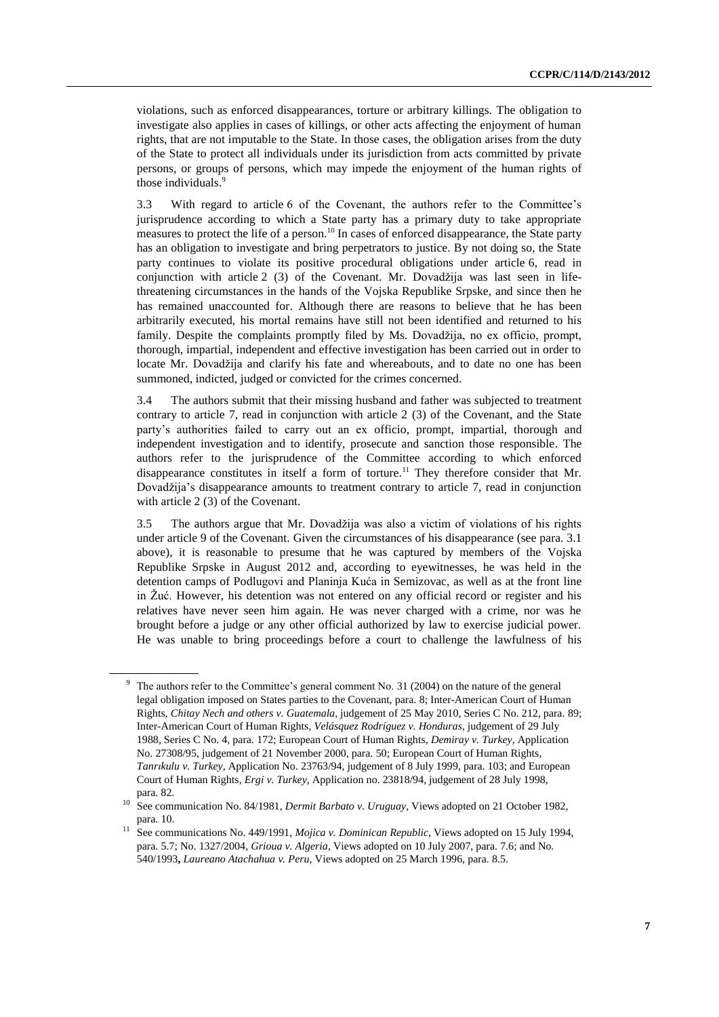violations, such as enforced disappearances, torture or arbitrary killings. The obligation to investigate also applies in cases of killings, or other acts affecting the enjoyment of human rights, that are not imputable to the State. In those cases, the obligation arises from the duty of the State to protect all individuals under its jurisdiction from acts committed by private persons, or groups of persons, which may impede the enjoyment of the human rights of those individuals. 9

3.3 With regard to article 6 of the Covenant, the authors refer to the Committee's jurisprudence according to which a State party has a primary duty to take appropriate measures to protect the life of a person.<sup>10</sup> In cases of enforced disappearance, the State party has an obligation to investigate and bring perpetrators to justice. By not doing so, the State party continues to violate its positive procedural obligations under article 6, read in conjunction with article 2 (3) of the Covenant. Mr. Dovadžija was last seen in lifethreatening circumstances in the hands of the Vojska Republike Srpske, and since then he has remained unaccounted for. Although there are reasons to believe that he has been arbitrarily executed, his mortal remains have still not been identified and returned to his family. Despite the complaints promptly filed by Ms. Dovadžija, no ex officio, prompt, thorough, impartial, independent and effective investigation has been carried out in order to locate Mr. Dovadžija and clarify his fate and whereabouts, and to date no one has been summoned, indicted, judged or convicted for the crimes concerned.

3.4 The authors submit that their missing husband and father was subjected to treatment contrary to article 7, read in conjunction with article 2 (3) of the Covenant, and the State party's authorities failed to carry out an ex officio, prompt, impartial, thorough and independent investigation and to identify, prosecute and sanction those responsible. The authors refer to the jurisprudence of the Committee according to which enforced disappearance constitutes in itself a form of torture.<sup>11</sup> They therefore consider that Mr. Dovadžija's disappearance amounts to treatment contrary to article 7, read in conjunction with article 2 (3) of the Covenant.

3.5 The authors argue that Mr. Dovadžija was also a victim of violations of his rights under article 9 of the Covenant. Given the circumstances of his disappearance (see para. 3.1 above), it is reasonable to presume that he was captured by members of the Vojska Republike Srpske in August 2012 and, according to eyewitnesses, he was held in the detention camps of Podlugovi and Planinja Kuća in Semizovac, as well as at the front line in Žuć. However, his detention was not entered on any official record or register and his relatives have never seen him again. He was never charged with a crime, nor was he brought before a judge or any other official authorized by law to exercise judicial power. He was unable to bring proceedings before a court to challenge the lawfulness of his

<sup>9</sup> The authors refer to the Committee's general comment No. 31 (2004) on the nature of the general legal obligation imposed on States parties to the Covenant, para. 8; Inter-American Court of Human Rights, *Chitay Nech and others v. Guatemala*, judgement of 25 May 2010, Series C No. 212, para. 89; Inter-American Court of Human Rights, *Velásquez Rodríguez v. Honduras,* judgement of 29 July 1988, Series C No. 4, para. 172; European Court of Human Rights, *Demiray v. Turkey,* Application No. 27308/95, judgement of 21 November 2000, para. 50; European Court of Human Rights, *Tanrıkulu v. Turkey,* Application No. 23763/94, judgement of 8 July 1999, para. 103; and European Court of Human Rights, *Ergi v. Turkey,* Application no. 23818/94, judgement of 28 July 1998, para. 82.

<sup>10</sup> See communication No. 84/1981, *Dermit Barbato v. Uruguay*, Views adopted on 21 October 1982, para. 10.

<sup>11</sup> See communications No. 449/1991, *Mojica v. Dominican Republic*, Views adopted on 15 July 1994, para. 5.7; No. 1327/2004, *Grioua v. Algeria*, Views adopted on 10 July 2007, para. 7.6; and No. 540/1993**,** *Laureano Atachahua v. Peru*, Views adopted on 25 March 1996, para. 8.5.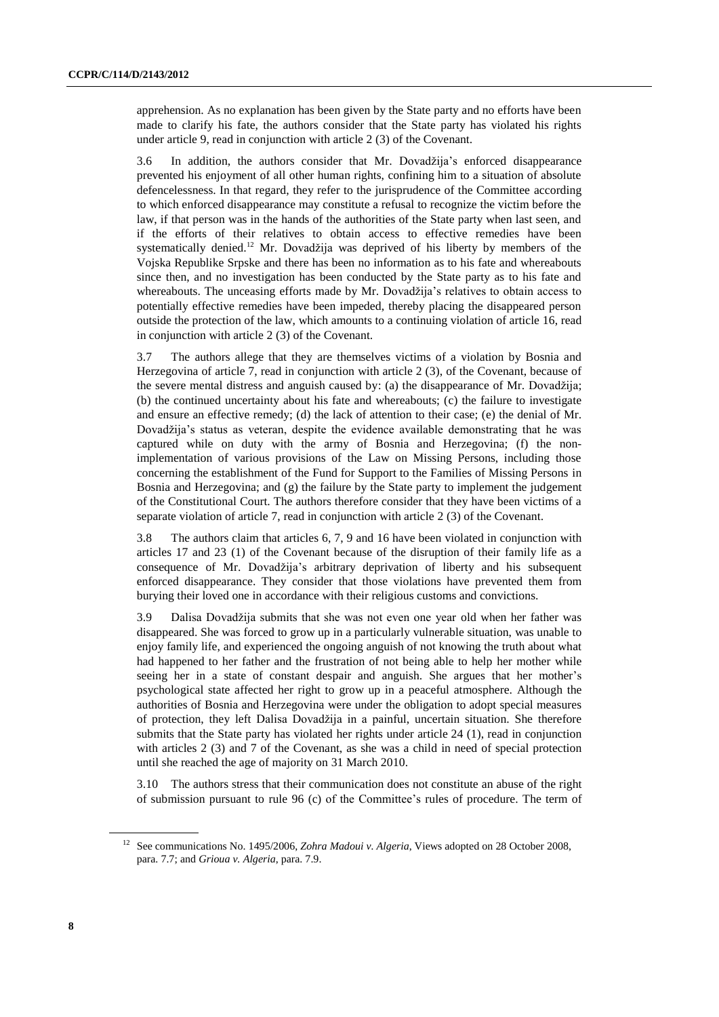apprehension. As no explanation has been given by the State party and no efforts have been made to clarify his fate, the authors consider that the State party has violated his rights under article 9, read in conjunction with article 2 (3) of the Covenant.

3.6 In addition, the authors consider that Mr. Dovadžija's enforced disappearance prevented his enjoyment of all other human rights, confining him to a situation of absolute defencelessness. In that regard, they refer to the jurisprudence of the Committee according to which enforced disappearance may constitute a refusal to recognize the victim before the law, if that person was in the hands of the authorities of the State party when last seen, and if the efforts of their relatives to obtain access to effective remedies have been systematically denied.<sup>12</sup> Mr. Dovadžija was deprived of his liberty by members of the Vojska Republike Srpske and there has been no information as to his fate and whereabouts since then, and no investigation has been conducted by the State party as to his fate and whereabouts. The unceasing efforts made by Mr. Dovadžija's relatives to obtain access to potentially effective remedies have been impeded, thereby placing the disappeared person outside the protection of the law, which amounts to a continuing violation of article 16, read in conjunction with article 2 (3) of the Covenant.

3.7 The authors allege that they are themselves victims of a violation by Bosnia and Herzegovina of article 7, read in conjunction with article 2 (3), of the Covenant, because of the severe mental distress and anguish caused by: (a) the disappearance of Mr. Dovadžija; (b) the continued uncertainty about his fate and whereabouts; (c) the failure to investigate and ensure an effective remedy; (d) the lack of attention to their case; (e) the denial of Mr. Dovadžija's status as veteran, despite the evidence available demonstrating that he was captured while on duty with the army of Bosnia and Herzegovina; (f) the nonimplementation of various provisions of the Law on Missing Persons, including those concerning the establishment of the Fund for Support to the Families of Missing Persons in Bosnia and Herzegovina; and (g) the failure by the State party to implement the judgement of the Constitutional Court. The authors therefore consider that they have been victims of a separate violation of article 7, read in conjunction with article 2 (3) of the Covenant.

3.8 The authors claim that articles 6, 7, 9 and 16 have been violated in conjunction with articles 17 and 23 (1) of the Covenant because of the disruption of their family life as a consequence of Mr. Dovadžija's arbitrary deprivation of liberty and his subsequent enforced disappearance. They consider that those violations have prevented them from burying their loved one in accordance with their religious customs and convictions.

3.9 Dalisa Dovadžija submits that she was not even one year old when her father was disappeared. She was forced to grow up in a particularly vulnerable situation, was unable to enjoy family life, and experienced the ongoing anguish of not knowing the truth about what had happened to her father and the frustration of not being able to help her mother while seeing her in a state of constant despair and anguish. She argues that her mother's psychological state affected her right to grow up in a peaceful atmosphere. Although the authorities of Bosnia and Herzegovina were under the obligation to adopt special measures of protection, they left Dalisa Dovadžija in a painful, uncertain situation. She therefore submits that the State party has violated her rights under article 24 (1), read in conjunction with articles 2 (3) and 7 of the Covenant, as she was a child in need of special protection until she reached the age of majority on 31 March 2010.

3.10 The authors stress that their communication does not constitute an abuse of the right of submission pursuant to rule 96 (c) of the Committee's rules of procedure. The term of

<sup>&</sup>lt;sup>12</sup> See communications No. 1495/2006, *Zohra Madoui v. Algeria*, Views adopted on 28 October 2008, para. 7.7; and *Grioua v. Algeria*, para. 7.9.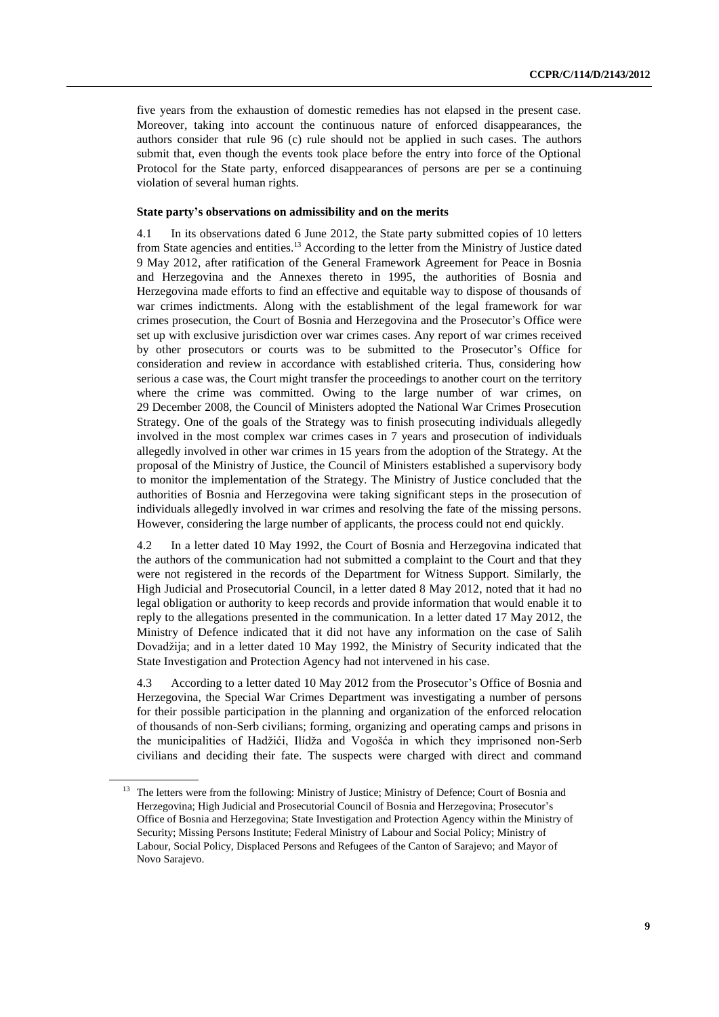five years from the exhaustion of domestic remedies has not elapsed in the present case. Moreover, taking into account the continuous nature of enforced disappearances, the authors consider that rule 96 (c) rule should not be applied in such cases. The authors submit that, even though the events took place before the entry into force of the Optional Protocol for the State party, enforced disappearances of persons are per se a continuing violation of several human rights.

#### **State party's observations on admissibility and on the merits**

4.1 In its observations dated 6 June 2012, the State party submitted copies of 10 letters from State agencies and entities.<sup>13</sup> According to the letter from the Ministry of Justice dated 9 May 2012, after ratification of the General Framework Agreement for Peace in Bosnia and Herzegovina and the Annexes thereto in 1995, the authorities of Bosnia and Herzegovina made efforts to find an effective and equitable way to dispose of thousands of war crimes indictments. Along with the establishment of the legal framework for war crimes prosecution, the Court of Bosnia and Herzegovina and the Prosecutor's Office were set up with exclusive jurisdiction over war crimes cases. Any report of war crimes received by other prosecutors or courts was to be submitted to the Prosecutor's Office for consideration and review in accordance with established criteria. Thus, considering how serious a case was, the Court might transfer the proceedings to another court on the territory where the crime was committed. Owing to the large number of war crimes, on 29 December 2008, the Council of Ministers adopted the National War Crimes Prosecution Strategy. One of the goals of the Strategy was to finish prosecuting individuals allegedly involved in the most complex war crimes cases in 7 years and prosecution of individuals allegedly involved in other war crimes in 15 years from the adoption of the Strategy. At the proposal of the Ministry of Justice, the Council of Ministers established a supervisory body to monitor the implementation of the Strategy. The Ministry of Justice concluded that the authorities of Bosnia and Herzegovina were taking significant steps in the prosecution of individuals allegedly involved in war crimes and resolving the fate of the missing persons. However, considering the large number of applicants, the process could not end quickly.

4.2 In a letter dated 10 May 1992, the Court of Bosnia and Herzegovina indicated that the authors of the communication had not submitted a complaint to the Court and that they were not registered in the records of the Department for Witness Support. Similarly, the High Judicial and Prosecutorial Council, in a letter dated 8 May 2012, noted that it had no legal obligation or authority to keep records and provide information that would enable it to reply to the allegations presented in the communication. In a letter dated 17 May 2012, the Ministry of Defence indicated that it did not have any information on the case of Salih Dovadžija; and in a letter dated 10 May 1992, the Ministry of Security indicated that the State Investigation and Protection Agency had not intervened in his case.

4.3 According to a letter dated 10 May 2012 from the Prosecutor's Office of Bosnia and Herzegovina, the Special War Crimes Department was investigating a number of persons for their possible participation in the planning and organization of the enforced relocation of thousands of non-Serb civilians; forming, organizing and operating camps and prisons in the municipalities of Hadžići, Ilídža and Vogošća in which they imprisoned non-Serb civilians and deciding their fate. The suspects were charged with direct and command

<sup>&</sup>lt;sup>13</sup> The letters were from the following: Ministry of Justice; Ministry of Defence; Court of Bosnia and Herzegovina; High Judicial and Prosecutorial Council of Bosnia and Herzegovina; Prosecutor's Office of Bosnia and Herzegovina; State Investigation and Protection Agency within the Ministry of Security; Missing Persons Institute; Federal Ministry of Labour and Social Policy; Ministry of Labour, Social Policy, Displaced Persons and Refugees of the Canton of Sarajevo; and Mayor of Novo Sarajevo.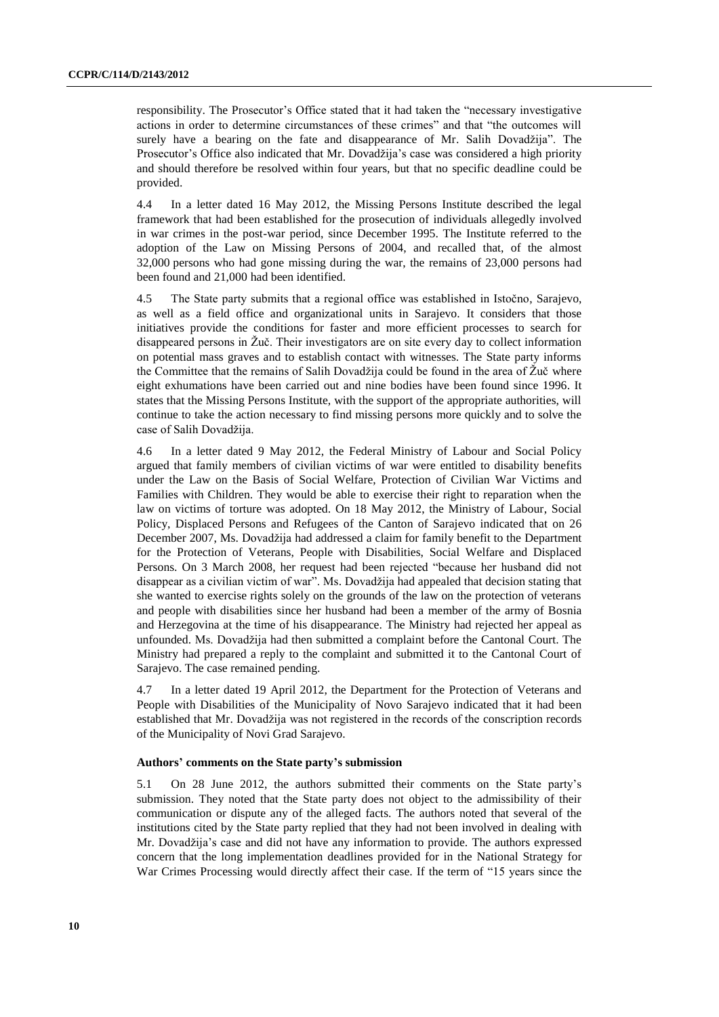responsibility. The Prosecutor's Office stated that it had taken the "necessary investigative actions in order to determine circumstances of these crimes" and that "the outcomes will surely have a bearing on the fate and disappearance of Mr. Salih Dovadžija". The Prosecutor's Office also indicated that Mr. Dovadžija's case was considered a high priority and should therefore be resolved within four years, but that no specific deadline could be provided.

4.4 In a letter dated 16 May 2012, the Missing Persons Institute described the legal framework that had been established for the prosecution of individuals allegedly involved in war crimes in the post-war period, since December 1995. The Institute referred to the adoption of the Law on Missing Persons of 2004, and recalled that, of the almost 32,000 persons who had gone missing during the war, the remains of 23,000 persons had been found and 21,000 had been identified.

4.5 The State party submits that a regional office was established in Istočno, Sarajevo, as well as a field office and organizational units in Sarajevo. It considers that those initiatives provide the conditions for faster and more efficient processes to search for disappeared persons in Žuč. Their investigators are on site every day to collect information on potential mass graves and to establish contact with witnesses. The State party informs the Committee that the remains of Salih Dovadžija could be found in the area of Žuč where eight exhumations have been carried out and nine bodies have been found since 1996. It states that the Missing Persons Institute, with the support of the appropriate authorities, will continue to take the action necessary to find missing persons more quickly and to solve the case of Salih Dovadžija.

4.6 In a letter dated 9 May 2012, the Federal Ministry of Labour and Social Policy argued that family members of civilian victims of war were entitled to disability benefits under the Law on the Basis of Social Welfare, Protection of Civilian War Victims and Families with Children. They would be able to exercise their right to reparation when the law on victims of torture was adopted. On 18 May 2012, the Ministry of Labour, Social Policy, Displaced Persons and Refugees of the Canton of Sarajevo indicated that on 26 December 2007, Ms. Dovadžija had addressed a claim for family benefit to the Department for the Protection of Veterans, People with Disabilities, Social Welfare and Displaced Persons. On 3 March 2008, her request had been rejected "because her husband did not disappear as a civilian victim of war". Ms. Dovadžija had appealed that decision stating that she wanted to exercise rights solely on the grounds of the law on the protection of veterans and people with disabilities since her husband had been a member of the army of Bosnia and Herzegovina at the time of his disappearance. The Ministry had rejected her appeal as unfounded. Ms. Dovadžija had then submitted a complaint before the Cantonal Court. The Ministry had prepared a reply to the complaint and submitted it to the Cantonal Court of Sarajevo. The case remained pending.

4.7 In a letter dated 19 April 2012, the Department for the Protection of Veterans and People with Disabilities of the Municipality of Novo Sarajevo indicated that it had been established that Mr. Dovadžija was not registered in the records of the conscription records of the Municipality of Novi Grad Sarajevo.

#### **Authors' comments on the State party's submission**

5.1 On 28 June 2012, the authors submitted their comments on the State party's submission. They noted that the State party does not object to the admissibility of their communication or dispute any of the alleged facts. The authors noted that several of the institutions cited by the State party replied that they had not been involved in dealing with Mr. Dovadžija's case and did not have any information to provide. The authors expressed concern that the long implementation deadlines provided for in the National Strategy for War Crimes Processing would directly affect their case. If the term of "15 years since the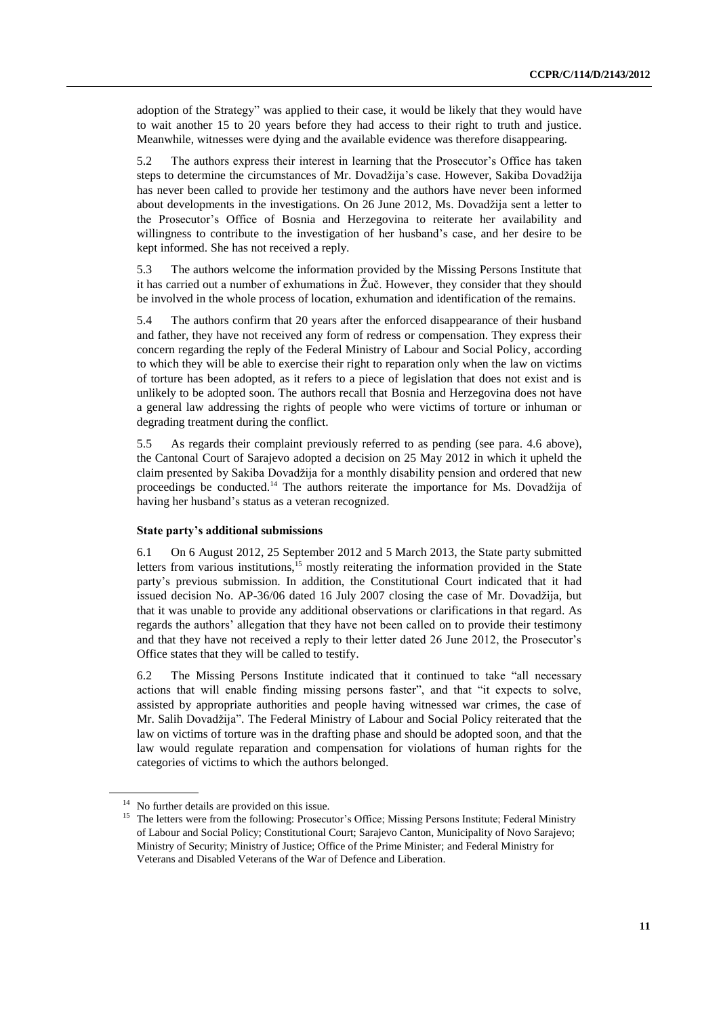adoption of the Strategy" was applied to their case, it would be likely that they would have to wait another 15 to 20 years before they had access to their right to truth and justice. Meanwhile, witnesses were dying and the available evidence was therefore disappearing.

5.2 The authors express their interest in learning that the Prosecutor's Office has taken steps to determine the circumstances of Mr. Dovadžija's case. However, Sakiba Dovadžija has never been called to provide her testimony and the authors have never been informed about developments in the investigations. On 26 June 2012, Ms. Dovadžija sent a letter to the Prosecutor's Office of Bosnia and Herzegovina to reiterate her availability and willingness to contribute to the investigation of her husband's case, and her desire to be kept informed. She has not received a reply.

5.3 The authors welcome the information provided by the Missing Persons Institute that it has carried out a number of exhumations in Žuč. However, they consider that they should be involved in the whole process of location, exhumation and identification of the remains.

5.4 The authors confirm that 20 years after the enforced disappearance of their husband and father, they have not received any form of redress or compensation. They express their concern regarding the reply of the Federal Ministry of Labour and Social Policy, according to which they will be able to exercise their right to reparation only when the law on victims of torture has been adopted, as it refers to a piece of legislation that does not exist and is unlikely to be adopted soon. The authors recall that Bosnia and Herzegovina does not have a general law addressing the rights of people who were victims of torture or inhuman or degrading treatment during the conflict.

5.5 As regards their complaint previously referred to as pending (see para. 4.6 above), the Cantonal Court of Sarajevo adopted a decision on 25 May 2012 in which it upheld the claim presented by Sakiba Dovadžija for a monthly disability pension and ordered that new proceedings be conducted.<sup>14</sup> The authors reiterate the importance for Ms. Dovadžija of having her husband's status as a veteran recognized.

#### **State party's additional submissions**

6.1 On 6 August 2012, 25 September 2012 and 5 March 2013, the State party submitted letters from various institutions,<sup>15</sup> mostly reiterating the information provided in the State party's previous submission. In addition, the Constitutional Court indicated that it had issued decision No. AP-36/06 dated 16 July 2007 closing the case of Mr. Dovadžija, but that it was unable to provide any additional observations or clarifications in that regard. As regards the authors' allegation that they have not been called on to provide their testimony and that they have not received a reply to their letter dated 26 June 2012, the Prosecutor's Office states that they will be called to testify.

6.2 The Missing Persons Institute indicated that it continued to take "all necessary actions that will enable finding missing persons faster", and that "it expects to solve, assisted by appropriate authorities and people having witnessed war crimes, the case of Mr. Salih Dovadžija". The Federal Ministry of Labour and Social Policy reiterated that the law on victims of torture was in the drafting phase and should be adopted soon, and that the law would regulate reparation and compensation for violations of human rights for the categories of victims to which the authors belonged.

<sup>&</sup>lt;sup>14</sup> No further details are provided on this issue.

<sup>&</sup>lt;sup>15</sup> The letters were from the following: Prosecutor's Office; Missing Persons Institute; Federal Ministry of Labour and Social Policy; Constitutional Court; Sarajevo Canton, Municipality of Novo Sarajevo; Ministry of Security; Ministry of Justice; Office of the Prime Minister; and Federal Ministry for Veterans and Disabled Veterans of the War of Defence and Liberation.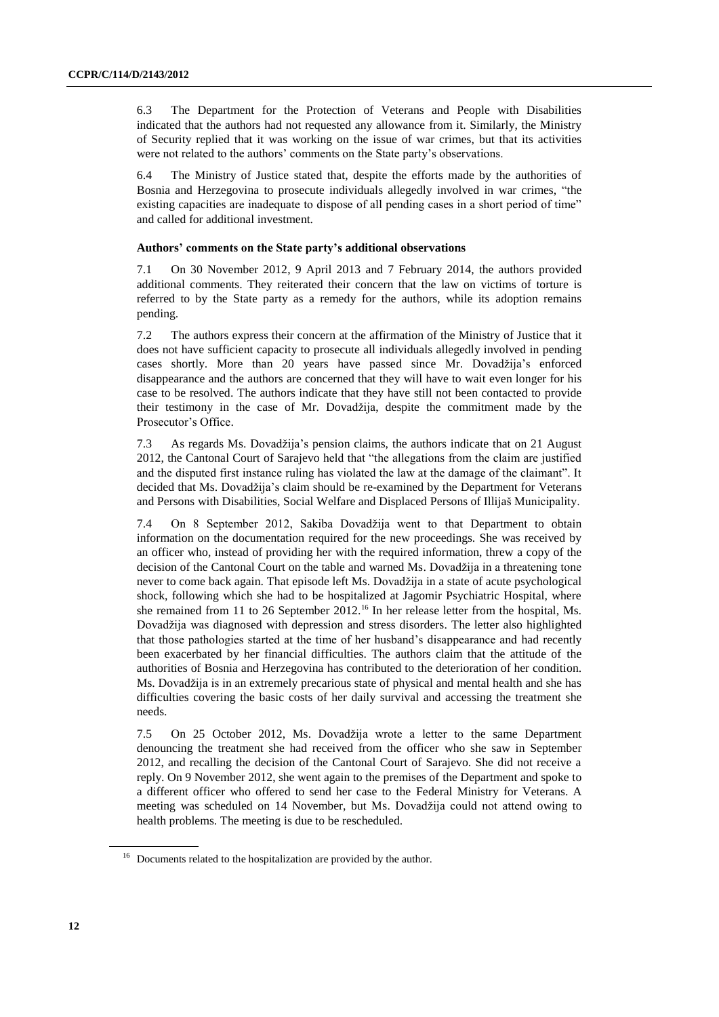6.3 The Department for the Protection of Veterans and People with Disabilities indicated that the authors had not requested any allowance from it. Similarly, the Ministry of Security replied that it was working on the issue of war crimes, but that its activities were not related to the authors' comments on the State party's observations.

6.4 The Ministry of Justice stated that, despite the efforts made by the authorities of Bosnia and Herzegovina to prosecute individuals allegedly involved in war crimes, "the existing capacities are inadequate to dispose of all pending cases in a short period of time" and called for additional investment.

#### **Authors' comments on the State party's additional observations**

7.1 On 30 November 2012, 9 April 2013 and 7 February 2014, the authors provided additional comments. They reiterated their concern that the law on victims of torture is referred to by the State party as a remedy for the authors, while its adoption remains pending.

7.2 The authors express their concern at the affirmation of the Ministry of Justice that it does not have sufficient capacity to prosecute all individuals allegedly involved in pending cases shortly. More than 20 years have passed since Mr. Dovadžija's enforced disappearance and the authors are concerned that they will have to wait even longer for his case to be resolved. The authors indicate that they have still not been contacted to provide their testimony in the case of Mr. Dovadžija, despite the commitment made by the Prosecutor's Office.

7.3 As regards Ms. Dovadžija's pension claims, the authors indicate that on 21 August 2012, the Cantonal Court of Sarajevo held that "the allegations from the claim are justified and the disputed first instance ruling has violated the law at the damage of the claimant". It decided that Ms. Dovadžija's claim should be re-examined by the Department for Veterans and Persons with Disabilities, Social Welfare and Displaced Persons of Illijaš Municipality.

7.4 On 8 September 2012, Sakiba Dovadžija went to that Department to obtain information on the documentation required for the new proceedings. She was received by an officer who, instead of providing her with the required information, threw a copy of the decision of the Cantonal Court on the table and warned Ms. Dovadžija in a threatening tone never to come back again. That episode left Ms. Dovadžija in a state of acute psychological shock, following which she had to be hospitalized at Jagomir Psychiatric Hospital, where she remained from 11 to 26 September 2012.<sup>16</sup> In her release letter from the hospital, Ms. Dovadžija was diagnosed with depression and stress disorders. The letter also highlighted that those pathologies started at the time of her husband's disappearance and had recently been exacerbated by her financial difficulties. The authors claim that the attitude of the authorities of Bosnia and Herzegovina has contributed to the deterioration of her condition. Ms. Dovadžija is in an extremely precarious state of physical and mental health and she has difficulties covering the basic costs of her daily survival and accessing the treatment she needs.

7.5 On 25 October 2012, Ms. Dovadžija wrote a letter to the same Department denouncing the treatment she had received from the officer who she saw in September 2012, and recalling the decision of the Cantonal Court of Sarajevo. She did not receive a reply. On 9 November 2012, she went again to the premises of the Department and spoke to a different officer who offered to send her case to the Federal Ministry for Veterans. A meeting was scheduled on 14 November, but Ms. Dovadžija could not attend owing to health problems. The meeting is due to be rescheduled.

<sup>&</sup>lt;sup>16</sup> Documents related to the hospitalization are provided by the author.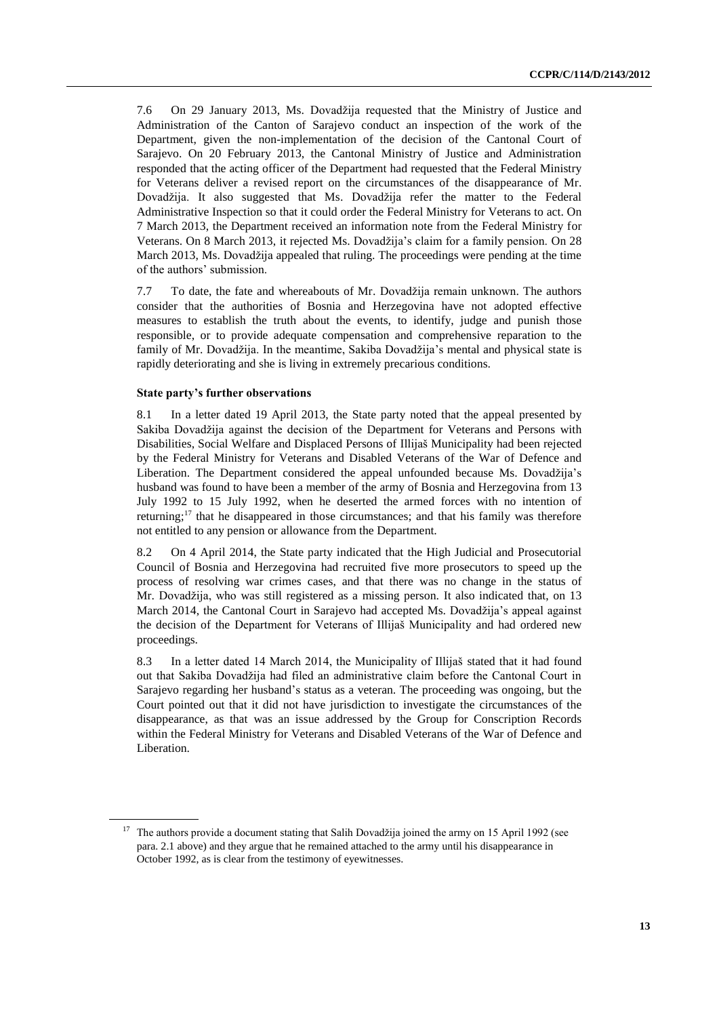7.6 On 29 January 2013, Ms. Dovadžija requested that the Ministry of Justice and Administration of the Canton of Sarajevo conduct an inspection of the work of the Department, given the non-implementation of the decision of the Cantonal Court of Sarajevo. On 20 February 2013, the Cantonal Ministry of Justice and Administration responded that the acting officer of the Department had requested that the Federal Ministry for Veterans deliver a revised report on the circumstances of the disappearance of Mr. Dovadžija. It also suggested that Ms. Dovadžija refer the matter to the Federal Administrative Inspection so that it could order the Federal Ministry for Veterans to act. On 7 March 2013, the Department received an information note from the Federal Ministry for Veterans. On 8 March 2013, it rejected Ms. Dovadžija's claim for a family pension. On 28 March 2013, Ms. Dovadžija appealed that ruling. The proceedings were pending at the time of the authors' submission.

7.7 To date, the fate and whereabouts of Mr. Dovadžija remain unknown. The authors consider that the authorities of Bosnia and Herzegovina have not adopted effective measures to establish the truth about the events, to identify, judge and punish those responsible, or to provide adequate compensation and comprehensive reparation to the family of Mr. Dovadžija. In the meantime, Sakiba Dovadžija's mental and physical state is rapidly deteriorating and she is living in extremely precarious conditions.

#### **State party's further observations**

8.1 In a letter dated 19 April 2013, the State party noted that the appeal presented by Sakiba Dovadžija against the decision of the Department for Veterans and Persons with Disabilities, Social Welfare and Displaced Persons of Illijaš Municipality had been rejected by the Federal Ministry for Veterans and Disabled Veterans of the War of Defence and Liberation. The Department considered the appeal unfounded because Ms. Dovadžija's husband was found to have been a member of the army of Bosnia and Herzegovina from 13 July 1992 to 15 July 1992, when he deserted the armed forces with no intention of returning;<sup>17</sup> that he disappeared in those circumstances; and that his family was therefore not entitled to any pension or allowance from the Department.

8.2 On 4 April 2014, the State party indicated that the High Judicial and Prosecutorial Council of Bosnia and Herzegovina had recruited five more prosecutors to speed up the process of resolving war crimes cases, and that there was no change in the status of Mr. Dovadžija, who was still registered as a missing person. It also indicated that, on 13 March 2014, the Cantonal Court in Sarajevo had accepted Ms. Dovadžija's appeal against the decision of the Department for Veterans of Illijaš Municipality and had ordered new proceedings.

8.3 In a letter dated 14 March 2014, the Municipality of Illijaš stated that it had found out that Sakiba Dovadžija had filed an administrative claim before the Cantonal Court in Sarajevo regarding her husband's status as a veteran. The proceeding was ongoing, but the Court pointed out that it did not have jurisdiction to investigate the circumstances of the disappearance, as that was an issue addressed by the Group for Conscription Records within the Federal Ministry for Veterans and Disabled Veterans of the War of Defence and Liberation.

<sup>&</sup>lt;sup>17</sup> The authors provide a document stating that Salih Dovadžija joined the army on 15 April 1992 (see para. 2.1 above) and they argue that he remained attached to the army until his disappearance in October 1992, as is clear from the testimony of eyewitnesses.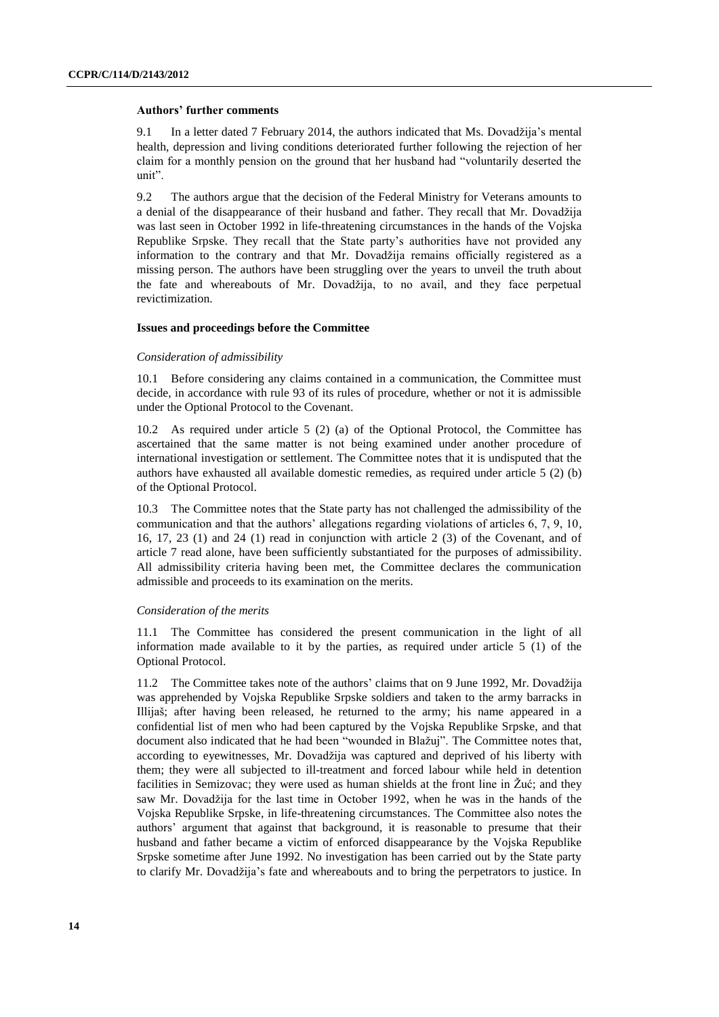#### **Authors' further comments**

9.1 In a letter dated 7 February 2014, the authors indicated that Ms. Dovadžija's mental health, depression and living conditions deteriorated further following the rejection of her claim for a monthly pension on the ground that her husband had "voluntarily deserted the unit".

9.2 The authors argue that the decision of the Federal Ministry for Veterans amounts to a denial of the disappearance of their husband and father. They recall that Mr. Dovadžija was last seen in October 1992 in life-threatening circumstances in the hands of the Vojska Republike Srpske. They recall that the State party's authorities have not provided any information to the contrary and that Mr. Dovadžija remains officially registered as a missing person. The authors have been struggling over the years to unveil the truth about the fate and whereabouts of Mr. Dovadžija, to no avail, and they face perpetual revictimization.

#### **Issues and proceedings before the Committee**

#### *Consideration of admissibility*

10.1 Before considering any claims contained in a communication, the Committee must decide, in accordance with rule 93 of its rules of procedure, whether or not it is admissible under the Optional Protocol to the Covenant.

10.2 As required under article 5 (2) (a) of the Optional Protocol, the Committee has ascertained that the same matter is not being examined under another procedure of international investigation or settlement. The Committee notes that it is undisputed that the authors have exhausted all available domestic remedies, as required under article 5 (2) (b) of the Optional Protocol.

10.3 The Committee notes that the State party has not challenged the admissibility of the communication and that the authors' allegations regarding violations of articles 6, 7, 9, 10, 16, 17, 23 (1) and 24 (1) read in conjunction with article 2 (3) of the Covenant, and of article 7 read alone, have been sufficiently substantiated for the purposes of admissibility. All admissibility criteria having been met, the Committee declares the communication admissible and proceeds to its examination on the merits.

#### *Consideration of the merits*

11.1 The Committee has considered the present communication in the light of all information made available to it by the parties, as required under article  $5(1)$  of the Optional Protocol.

11.2 The Committee takes note of the authors' claims that on 9 June 1992, Mr. Dovadžija was apprehended by Vojska Republike Srpske soldiers and taken to the army barracks in Illijaš; after having been released, he returned to the army; his name appeared in a confidential list of men who had been captured by the Vojska Republike Srpske, and that document also indicated that he had been "wounded in Blažuj". The Committee notes that, according to eyewitnesses, Mr. Dovadžija was captured and deprived of his liberty with them; they were all subjected to ill-treatment and forced labour while held in detention facilities in Semizovac; they were used as human shields at the front line in Žuć; and they saw Mr. Dovadžija for the last time in October 1992, when he was in the hands of the Vojska Republike Srpske, in life-threatening circumstances. The Committee also notes the authors' argument that against that background, it is reasonable to presume that their husband and father became a victim of enforced disappearance by the Vojska Republike Srpske sometime after June 1992. No investigation has been carried out by the State party to clarify Mr. Dovadžija's fate and whereabouts and to bring the perpetrators to justice. In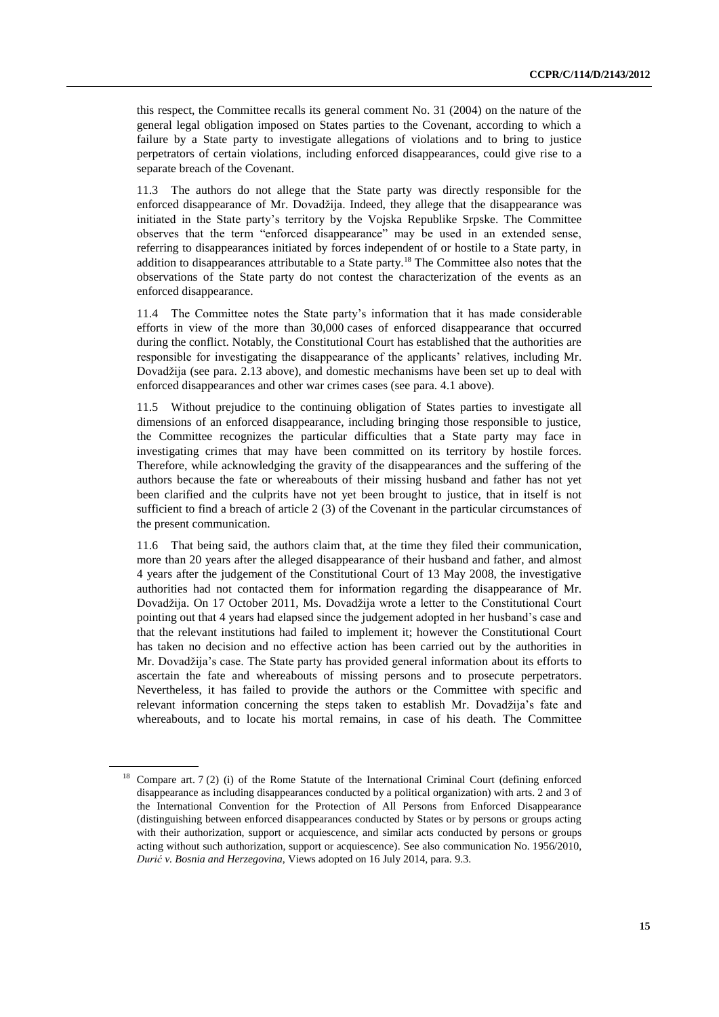this respect, the Committee recalls its general comment No. 31 (2004) on the nature of the general legal obligation imposed on States parties to the Covenant, according to which a failure by a State party to investigate allegations of violations and to bring to justice perpetrators of certain violations, including enforced disappearances, could give rise to a separate breach of the Covenant.

11.3 The authors do not allege that the State party was directly responsible for the enforced disappearance of Mr. Dovadžija. Indeed, they allege that the disappearance was initiated in the State party's territory by the Vojska Republike Srpske. The Committee observes that the term "enforced disappearance" may be used in an extended sense, referring to disappearances initiated by forces independent of or hostile to a State party, in addition to disappearances attributable to a State party.<sup>18</sup> The Committee also notes that the observations of the State party do not contest the characterization of the events as an enforced disappearance.

11.4 The Committee notes the State party's information that it has made considerable efforts in view of the more than 30,000 cases of enforced disappearance that occurred during the conflict. Notably, the Constitutional Court has established that the authorities are responsible for investigating the disappearance of the applicants' relatives, including Mr. Dovadžija (see para. 2.13 above), and domestic mechanisms have been set up to deal with enforced disappearances and other war crimes cases (see para. 4.1 above).

11.5 Without prejudice to the continuing obligation of States parties to investigate all dimensions of an enforced disappearance, including bringing those responsible to justice, the Committee recognizes the particular difficulties that a State party may face in investigating crimes that may have been committed on its territory by hostile forces. Therefore, while acknowledging the gravity of the disappearances and the suffering of the authors because the fate or whereabouts of their missing husband and father has not yet been clarified and the culprits have not yet been brought to justice, that in itself is not sufficient to find a breach of article 2 (3) of the Covenant in the particular circumstances of the present communication.

11.6 That being said, the authors claim that, at the time they filed their communication, more than 20 years after the alleged disappearance of their husband and father, and almost 4 years after the judgement of the Constitutional Court of 13 May 2008, the investigative authorities had not contacted them for information regarding the disappearance of Mr. Dovadžija. On 17 October 2011, Ms. Dovadžija wrote a letter to the Constitutional Court pointing out that 4 years had elapsed since the judgement adopted in her husband's case and that the relevant institutions had failed to implement it; however the Constitutional Court has taken no decision and no effective action has been carried out by the authorities in Mr. Dovadžija's case. The State party has provided general information about its efforts to ascertain the fate and whereabouts of missing persons and to prosecute perpetrators. Nevertheless, it has failed to provide the authors or the Committee with specific and relevant information concerning the steps taken to establish Mr. Dovadžija's fate and whereabouts, and to locate his mortal remains, in case of his death. The Committee

<sup>&</sup>lt;sup>18</sup> Compare art. 7 (2) (i) of the Rome Statute of the International Criminal Court (defining enforced disappearance as including disappearances conducted by a political organization) with arts. 2 and 3 of the International Convention for the Protection of All Persons from Enforced Disappearance (distinguishing between enforced disappearances conducted by States or by persons or groups acting with their authorization, support or acquiescence, and similar acts conducted by persons or groups acting without such authorization, support or acquiescence). See also communication No. 1956/2010, *Durić v. Bosnia and Herzegovina*, Views adopted on 16 July 2014, para. 9.3.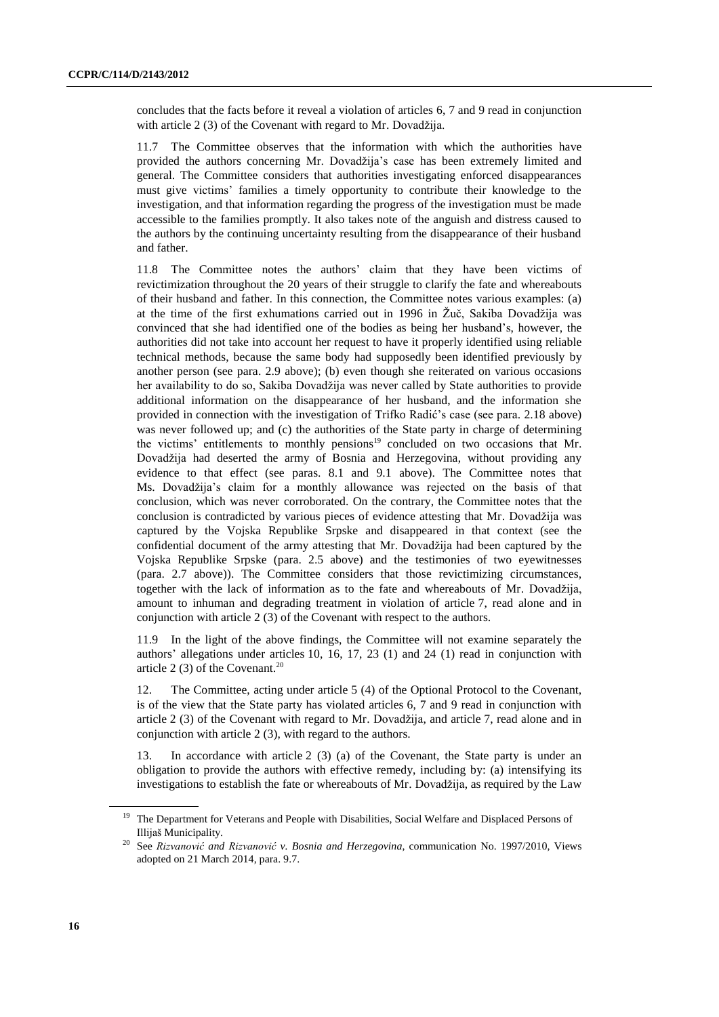concludes that the facts before it reveal a violation of articles 6, 7 and 9 read in conjunction with article 2 (3) of the Covenant with regard to Mr. Dovadžija.

11.7 The Committee observes that the information with which the authorities have provided the authors concerning Mr. Dovadžija's case has been extremely limited and general. The Committee considers that authorities investigating enforced disappearances must give victims' families a timely opportunity to contribute their knowledge to the investigation, and that information regarding the progress of the investigation must be made accessible to the families promptly. It also takes note of the anguish and distress caused to the authors by the continuing uncertainty resulting from the disappearance of their husband and father.

11.8 The Committee notes the authors' claim that they have been victims of revictimization throughout the 20 years of their struggle to clarify the fate and whereabouts of their husband and father. In this connection, the Committee notes various examples: (a) at the time of the first exhumations carried out in 1996 in Žuč, Sakiba Dovadžija was convinced that she had identified one of the bodies as being her husband's, however, the authorities did not take into account her request to have it properly identified using reliable technical methods, because the same body had supposedly been identified previously by another person (see para. 2.9 above); (b) even though she reiterated on various occasions her availability to do so, Sakiba Dovadžija was never called by State authorities to provide additional information on the disappearance of her husband, and the information she provided in connection with the investigation of Trifko Radić's case (see para. 2.18 above) was never followed up; and (c) the authorities of the State party in charge of determining the victims' entitlements to monthly pensions<sup>19</sup> concluded on two occasions that Mr. Dovadžija had deserted the army of Bosnia and Herzegovina, without providing any evidence to that effect (see paras. 8.1 and 9.1 above). The Committee notes that Ms. Dovadžija's claim for a monthly allowance was rejected on the basis of that conclusion, which was never corroborated. On the contrary, the Committee notes that the conclusion is contradicted by various pieces of evidence attesting that Mr. Dovadžija was captured by the Vojska Republike Srpske and disappeared in that context (see the confidential document of the army attesting that Mr. Dovadžija had been captured by the Vojska Republike Srpske (para. 2.5 above) and the testimonies of two eyewitnesses (para. 2.7 above)). The Committee considers that those revictimizing circumstances, together with the lack of information as to the fate and whereabouts of Mr. Dovadžija, amount to inhuman and degrading treatment in violation of article 7, read alone and in conjunction with article 2 (3) of the Covenant with respect to the authors.

11.9 In the light of the above findings, the Committee will not examine separately the authors' allegations under articles 10, 16, 17, 23 (1) and 24 (1) read in conjunction with article 2 (3) of the Covenant.<sup>20</sup>

12. The Committee, acting under article 5 (4) of the Optional Protocol to the Covenant, is of the view that the State party has violated articles 6, 7 and 9 read in conjunction with article 2 (3) of the Covenant with regard to Mr. Dovadžija, and article 7, read alone and in conjunction with article 2 (3), with regard to the authors.

In accordance with article  $2 \times (3)$  (a) of the Covenant, the State party is under an obligation to provide the authors with effective remedy, including by: (a) intensifying its investigations to establish the fate or whereabouts of Mr. Dovadžija, as required by the Law

<sup>&</sup>lt;sup>19</sup> The Department for Veterans and People with Disabilities, Social Welfare and Displaced Persons of Illijaš Municipality.

<sup>20</sup> See *Rizvanović and Rizvanović v. Bosnia and Herzegovina*, communication No. 1997/2010, Views adopted on 21 March 2014, para. 9.7.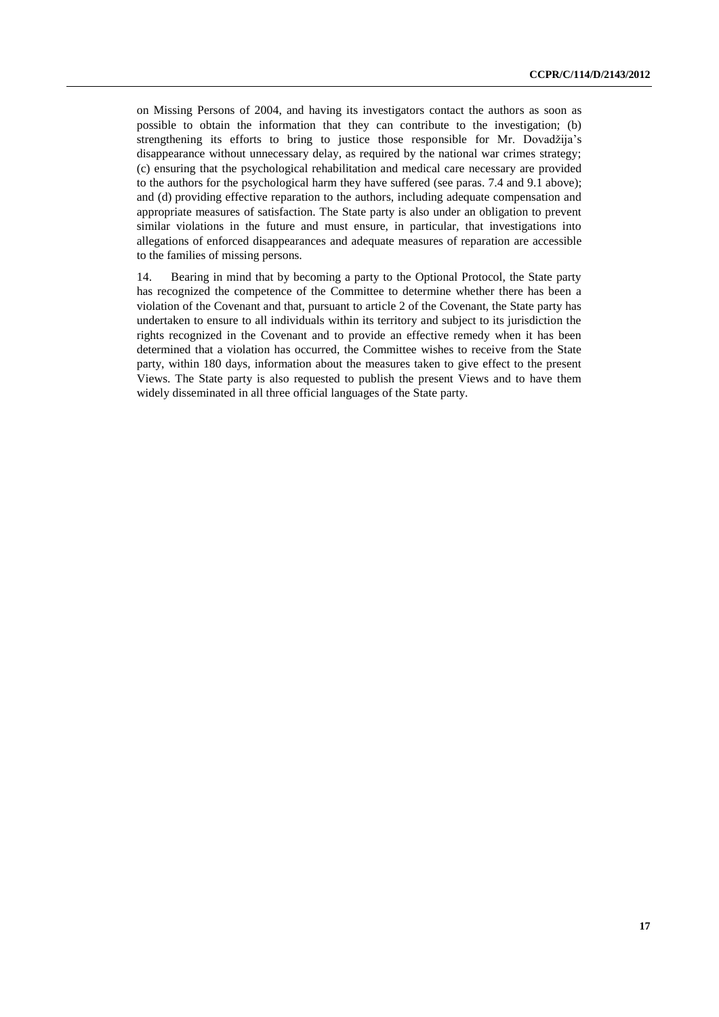on Missing Persons of 2004, and having its investigators contact the authors as soon as possible to obtain the information that they can contribute to the investigation; (b) strengthening its efforts to bring to justice those responsible for Mr. Dovadžija's disappearance without unnecessary delay, as required by the national war crimes strategy; (c) ensuring that the psychological rehabilitation and medical care necessary are provided to the authors for the psychological harm they have suffered (see paras. 7.4 and 9.1 above); and (d) providing effective reparation to the authors, including adequate compensation and appropriate measures of satisfaction. The State party is also under an obligation to prevent similar violations in the future and must ensure, in particular, that investigations into allegations of enforced disappearances and adequate measures of reparation are accessible to the families of missing persons.

14. Bearing in mind that by becoming a party to the Optional Protocol, the State party has recognized the competence of the Committee to determine whether there has been a violation of the Covenant and that, pursuant to article 2 of the Covenant, the State party has undertaken to ensure to all individuals within its territory and subject to its jurisdiction the rights recognized in the Covenant and to provide an effective remedy when it has been determined that a violation has occurred, the Committee wishes to receive from the State party, within 180 days, information about the measures taken to give effect to the present Views. The State party is also requested to publish the present Views and to have them widely disseminated in all three official languages of the State party.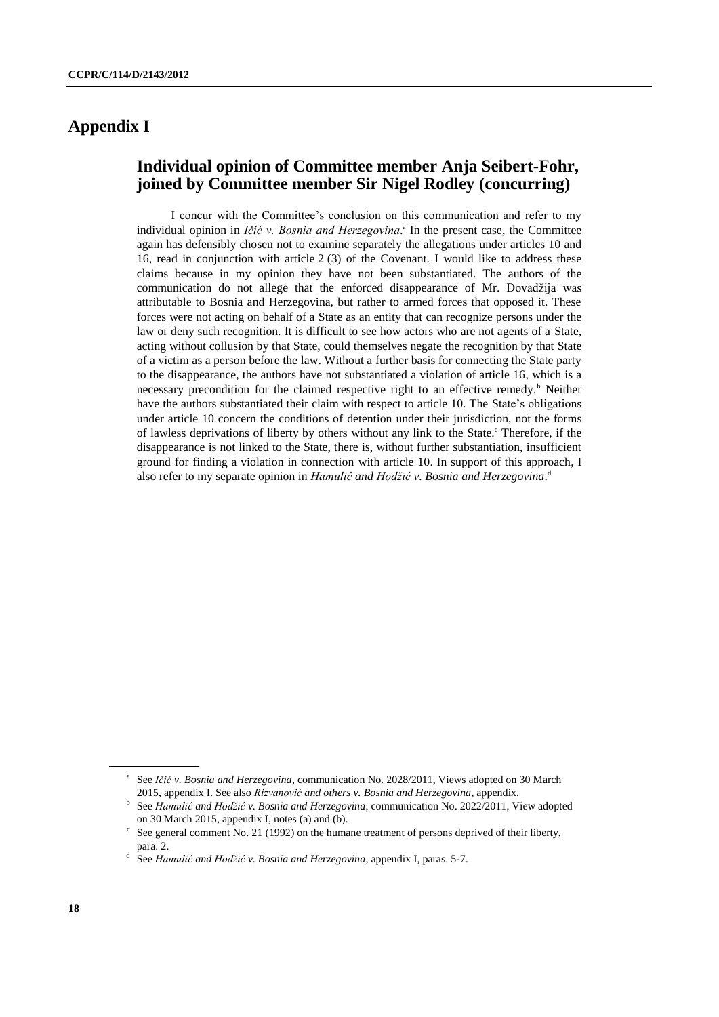## **Appendix I**

## **Individual opinion of Committee member Anja Seibert-Fohr, joined by Committee member Sir Nigel Rodley (concurring)**

I concur with the Committee's conclusion on this communication and refer to my individual opinion in *Ičić v. Bosnia and Herzegovina*.<sup>ª</sup> In the present case, the Committee again has defensibly chosen not to examine separately the allegations under articles 10 and 16, read in conjunction with article 2 (3) of the Covenant. I would like to address these claims because in my opinion they have not been substantiated. The authors of the communication do not allege that the enforced disappearance of Mr. Dovadžija was attributable to Bosnia and Herzegovina, but rather to armed forces that opposed it. These forces were not acting on behalf of a State as an entity that can recognize persons under the law or deny such recognition. It is difficult to see how actors who are not agents of a State, acting without collusion by that State, could themselves negate the recognition by that State of a victim as a person before the law. Without a further basis for connecting the State party to the disappearance, the authors have not substantiated a violation of article 16, which is a necessary precondition for the claimed respective right to an effective remedy.<sup>b</sup> Neither have the authors substantiated their claim with respect to article 10. The State's obligations under article 10 concern the conditions of detention under their jurisdiction, not the forms of lawless deprivations of liberty by others without any link to the State.<sup>c</sup> Therefore, if the disappearance is not linked to the State, there is, without further substantiation, insufficient ground for finding a violation in connection with article 10. In support of this approach, I also refer to my separate opinion in *Hamulić and Hodžić v. Bosnia and Herzegovina*. d

<sup>&</sup>lt;sup>a</sup> See *Ičić v. Bosnia and Herzegovina*, communication No. 2028/2011, Views adopted on 30 March 2015, appendix I. See also *Rizvanović and others v. Bosnia and Herzegovina*, appendix.

<sup>&</sup>lt;sup>b</sup> See *Hamulić and Hodžić v. Bosnia and Herzegovina*, communication No. 2022/2011, View adopted on 30 March 2015, appendix I, notes (a) and (b).

 $\epsilon$  See general comment No. 21 (1992) on the humane treatment of persons deprived of their liberty, para. 2.

d See *Hamulić and Hodžić v. Bosnia and Herzegovina*, appendix I, paras. 5-7.